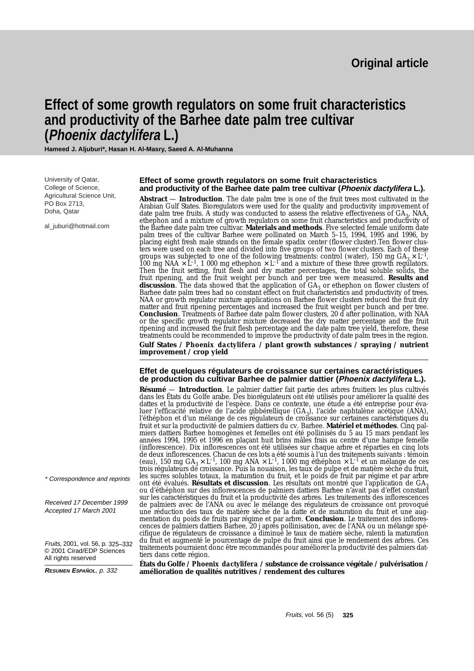# **Effect of some growth regulators on some fruit characteristics and productivity of the Barhee date palm tree cultivar (Phoenix dactylifera L.)**

**Hameed J. Aljuburi\*, Hasan H. Al-Masry, Saeed A. Al-Muhanna**

University of Qatar, College of Science, Agricultural Science Unit, PO Box 2713, Doha, Qatar

al\_iuburi@hotmail.com

#### **Effect of some growth regulators on some fruit characteristics and productivity of the Barhee date palm tree cultivar (Phoenix dactylifera L.).**

**Abstract** — **Introduction**. The date palm tree is one of the fruit trees most cultivated in the Arabian Gulf States. Bioregulators were used for the quality and productivity improvement of date palm tree fruits. A study was conducted to assess the relative effectiveness of GA<sub>3</sub>, NAA, ethephon and a mixture of growth regulators on some fruit characteristics and productivity of the Barhee date palm tree cultivar. **Materials and methods**. Five selected female uniform date palm trees of the cultivar Barhee were pollinated on March 5–15, 1994, 1995 and 1996, by placing eight fresh male strands on the female spadix center (flower cluster).Ten flower clusters were used on each tree and divided into five groups of two flower clusters. Each of these groups was subjected to one of the following treatments: control (water), 150 mg  $GA_3 \times L^{-1}$ , 1000 mg ethephon  $\times L^{-1}$  and a mixture of these three growth regulators. Then the fruit setting, fruit flesh and dry matter percentages, the total soluble solids, the fruit ripening, and the fruit weight per bunch and per tree were measured. **Results and discussion**. The data showed that the application of GA<sub>3</sub> or ethephon on flower clusters of Barhee date palm trees had no constant effect on fruit characteristics and productivity of trees. NAA or growth regulator mixture applications on Barhee flower clusters reduced the fruit dry matter and fruit ripening percentages and increased the fruit weight per bunch and per tree. **Conclusion**. Treatments of Barhee date palm flower clusters, 20 d after pollination, with NAA or the specific growth regulator mixture decreased the dry matter percentage and the fruit ripening and increased the fruit flesh percentage and the date palm tree yield, therefore, these treatments could be recommended to improve the productivity of date palm trees in the region.

**Gulf States /** *Phoenix dactylifera* **/ plant growth substances / spraying / nutrient improvement / crop yield**

## **Effet de quelques régulateurs de croissance sur certaines caractéristiques de production du cultivar Barhee de palmier dattier (Phoenix dactylifera L.).**

**Résumé** — **Introduction**. Le palmier dattier fait partie des arbres fruitiers les plus cultivés dans les États du Golfe arabe. Des biorégulateurs ont été utilisés pour améliorer la qualité des dattes et la productivité de l'espèce. Dans ce contexte, une étude a été entreprise pour évaluer l'efficacité relative de l'acide gibbérellique  $(GA<sub>2</sub>)$ , l'acide naphtalène acétique (ANA), l'éthéphon et d'un mélange de ces régulateurs de croissance sur certaines caractéristiques du fruit et sur la productivité de palmiers dattiers du cv. Barhee. **Matériel et méthodes**. Cinq palmiers dattiers Barhee homogènes et femelles ont été pollinisés du 5 au 15 mars pendant les années 1994, 1995 et 1996 en plaçant huit brins mâles frais au centre d'une hampe femelle (inflorescence). Dix inflorescences ont été utilisées sur chaque arbre et réparties en cinq lots de deux inflorescences. Chacun de ces lots a été soumis à l'un des traitements suivants : témoin (eau), 150 mg GA<sub>3</sub> × L<sup>-1</sup>, 100 mg ANA × L<sup>-1</sup>, 1000 mg éthéphon × L<sup>-1</sup> et un mélange de ces trois régulateurs de croissance. Puis la nouaison, les taux de pulpe et de matière sèche du fruit, les sucres solubles totaux, la maturation du fruit, et le poids de fruit par régime et par arbre ont été évalués. **Résultats et discussion**. Les résultats ont montré que l'application de GA3 ou d'éthéphon sur des inflorescences de palmiers dattiers Barhee n'avait pas d'effet constant sur les caractéristiques du fruit et la productivité des arbres. Les traitements des inflorescences de palmiers avec de l'ANA ou avec le mélange des régulateurs de croissance ont provoqué une réduction des taux de matière sèche de la datte et de maturation du fruit et une augmentation du poids de fruits par régime et par arbre. **Conclusion**. Le traitement des inflorescences de palmiers dattiers Barhee, 20 j après pollinisation, avec de l'ANA ou un mélange spécifique de régulateurs de croissance a diminué le taux de matière sèche, ralenti la maturation du fruit et augmenté le pourcentage de pulpe du fruit ainsi que le rendement des arbres. Ces traitements pourraient donc être recommandés pour améliorer la productivité des palmiers dattiers dans cette région.

**États du Golfe /** *Phoenix dactylifera* **/ substance de croissance végétale / pulvérisation / amélioration de qualités nutritives / rendement des cultures**

\* Correspondence and reprints

Received 17 December 1999 Accepted 17 March 2001

Fruits, 2001, vol. 56, p. 325–332 © 2001 Cirad/EDP Sciences All rights reserved

**RESUMEN ESPAÑOL**, p. 332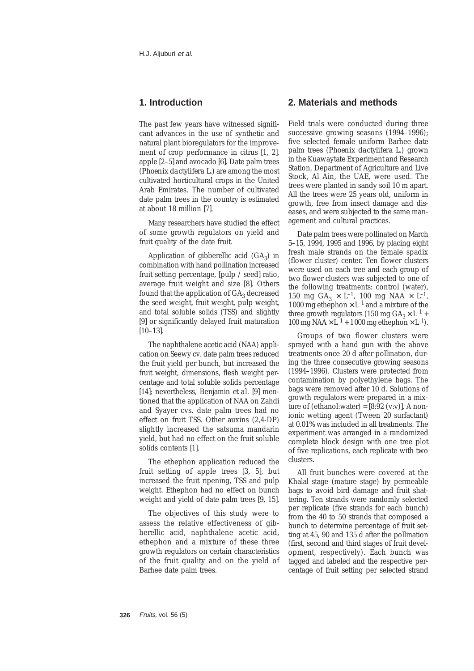# **1. Introduction**

The past few years have witnessed significant advances in the use of synthetic and natural plant bioregulators for the improvement of crop performance in citrus [1, 2], apple [2–5] and avocado [6]. Date palm trees (*Phoenix dactylifera* L.) are among the most cultivated horticultural crops in the United Arab Emirates. The number of cultivated date palm trees in the country is estimated at about 18 million [7].

Many researchers have studied the effect of some growth regulators on yield and fruit quality of the date fruit.

Application of gibberellic acid  $(GA_3)$  in combination with hand pollination increased fruit setting percentage, [pulp / seed] ratio, average fruit weight and size [8]. Others found that the application of GA<sub>2</sub> decreased the seed weight, fruit weight, pulp weight, and total soluble solids (TSS) and slightly [9] or significantly delayed fruit maturation [10–13].

The naphthalene acetic acid (NAA) application on Seewy cv. date palm trees reduced the fruit yield per bunch, but increased the fruit weight, dimensions, flesh weight percentage and total soluble solids percentage [14]; nevertheless, Benjamin *et al.* [9] mentioned that the application of NAA on Zahdi and Syayer cvs. date palm trees had no effect on fruit TSS. Other auxins (2,4-DP) slightly increased the satsuma mandarin yield, but had no effect on the fruit soluble solids contents [1].

The ethephon application reduced the fruit setting of apple trees [3, 5], but increased the fruit ripening, TSS and pulp weight. Ethephon had no effect on bunch weight and yield of date palm trees [9, 15].

The objectives of this study were to assess the relative effectiveness of gibberellic acid, naphthalene acetic acid, ethephon and a mixture of these three growth regulators on certain characteristics of the fruit quality and on the yield of Barhee date palm trees.

## **2. Materials and methods**

Field trials were conducted during three successive growing seasons (1994–1996); five selected female uniform Barhee date palm trees (*Phoenix dactylifera* L.) grown in the Kuawaytate Experiment and Research Station, Department of Agriculture and Live Stock, Al Ain, the UAE, were used. The trees were planted in sandy soil 10 m apart. All the trees were 25 years old, uniform in growth, free from insect damage and diseases, and were subjected to the same management and cultural practices.

Date palm trees were pollinated on March 5–15, 1994, 1995 and 1996, by placing eight fresh male strands on the female spadix (flower cluster) center. Ten flower clusters were used on each tree and each group of two flower clusters was subjected to one of the following treatments: control (water), 150 mg GA<sub>3</sub>  $\times$  L<sup>-1</sup>, 100 mg NAA  $\times$  L<sup>-1</sup>, 1000 mg ethephon  $\times$  L<sup>-1</sup> and a mixture of the three growth regulators (150 mg  $GA_3 \times L^{-1}$  + 100 mg NAA  $\times$  L<sup>-1</sup> + 1000 mg ethephon  $\times$  L<sup>-1</sup>).

Groups of two flower clusters were sprayed with a hand gun with the above treatments once 20 d after pollination, during the three consecutive growing seasons (1994–1996). Clusters were protected from contamination by polyethylene bags. The bags were removed after 10 d. Solutions of growth regulators were prepared in a mixture of (ethanol:water) =  $[8:92 \text{ (v:v)}]$ . A nonionic wetting agent (Tween 20 surfactant) at 0.01% was included in all treatments. The experiment was arranged in a randomized complete block design with one tree plot of five replications, each replicate with two clusters.

All fruit bunches were covered at the Khalal stage (mature stage) by permeable bags to avoid bird damage and fruit shattering. Ten strands were randomly selected per replicate (five strands for each bunch) from the 40 to 50 strands that composed a bunch to determine percentage of fruit setting at 45, 90 and 135 d after the pollination (first, second and third stages of fruit development, respectively). Each bunch was tagged and labeled and the respective percentage of fruit setting per selected strand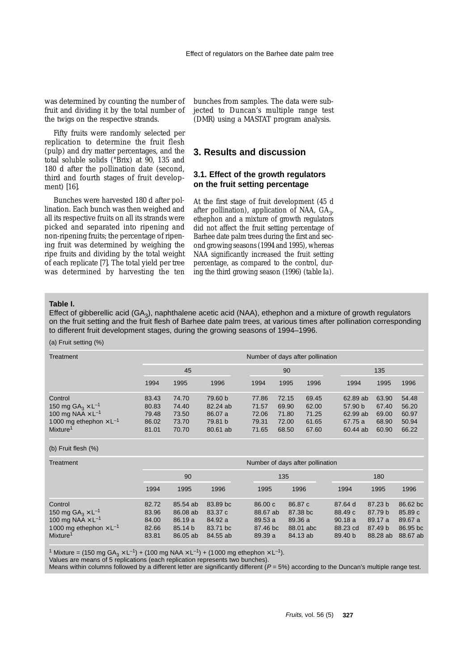was determined by counting the number of fruit and dividing it by the total number of the twigs on the respective strands.

Fifty fruits were randomly selected per replication to determine the fruit flesh (pulp) and dry matter percentages, and the total soluble solids (°Brix) at 90, 135 and 180 d after the pollination date (second, third and fourth stages of fruit development) [16].

Bunches were harvested 180 d after pollination. Each bunch was then weighed and all its respective fruits on all its strands were picked and separated into ripening and non-ripening fruits; the percentage of ripening fruit was determined by weighing the ripe fruits and dividing by the total weight of each replicate [7]. The total yield per tree was determined by harvesting the ten bunches from samples. The data were subjected to Duncan's multiple range test (DMR) using a MASTAT program analysis.

# **3. Results and discussion**

## **3.1. Effect of the growth regulators on the fruit setting percentage**

At the first stage of fruit development (45 d after pollination), application of NAA,  $GA<sub>3</sub>$ , ethephon and a mixture of growth regulators did not affect the fruit setting percentage of Barhee date palm trees during the first and second growing seasons (1994 and 1995), whereas NAA significantly increased the fruit setting percentage, as compared to the control, during the third growing season (1996) (*table Ia*).

#### **Table I.**

Effect of gibberellic acid ( $GA_3$ ), naphthalene acetic acid (NAA), ethephon and a mixture of growth regulators on the fruit setting and the fruit flesh of Barhee date palm trees, at various times after pollination corresponding to different fruit development stages, during the growing seasons of 1994–1996.

## (a) Fruit setting (%)

| Treatment                                                                                                                                 | Number of days after pollination          |                                           |                                                       |                                           |                                           |                                           |                                                        |                                           |                                           |
|-------------------------------------------------------------------------------------------------------------------------------------------|-------------------------------------------|-------------------------------------------|-------------------------------------------------------|-------------------------------------------|-------------------------------------------|-------------------------------------------|--------------------------------------------------------|-------------------------------------------|-------------------------------------------|
|                                                                                                                                           | 45                                        |                                           |                                                       | 90                                        |                                           |                                           | 135                                                    |                                           |                                           |
|                                                                                                                                           | 1994                                      | 1995                                      | 1996                                                  | 1994                                      | 1995                                      | 1996                                      | 1994                                                   | 1995                                      | 1996                                      |
| Control<br>150 mg $GA_3 \times L^{-1}$<br>100 mg NAA $\times$ L <sup>-1</sup><br>1000 mg ethephon $\times L^{-1}$<br>Mixture <sup>1</sup> | 83.43<br>80.83<br>79.48<br>86.02<br>81.01 | 74.70<br>74.40<br>73.50<br>73.70<br>70.70 | 79.60 b<br>82.24 ab<br>86.07 a<br>79.81 b<br>80.61 ab | 77.86<br>71.57<br>72.06<br>79.31<br>71.65 | 72.15<br>69.90<br>71.80<br>72.00<br>68.50 | 69.45<br>62.00<br>71.25<br>61.65<br>67.60 | 62.89 ab<br>57.90 b<br>62.99 ab<br>67.75 a<br>60.44 ab | 63.90<br>67.40<br>69.00<br>68.90<br>60.90 | 54.48<br>56.20<br>60.97<br>50.94<br>66.22 |

#### (b) Fruit flesh (%)

| Treatment                                                                                                                                          | Number of days after pollination          |                                                       |                                                        |                                                     |                                                         |                                                               |                                                      |                                                        |  |
|----------------------------------------------------------------------------------------------------------------------------------------------------|-------------------------------------------|-------------------------------------------------------|--------------------------------------------------------|-----------------------------------------------------|---------------------------------------------------------|---------------------------------------------------------------|------------------------------------------------------|--------------------------------------------------------|--|
|                                                                                                                                                    | 90                                        |                                                       |                                                        | 135                                                 |                                                         | 180                                                           |                                                      |                                                        |  |
|                                                                                                                                                    | 1994                                      | 1995                                                  | 1996                                                   | 1995                                                | 1996                                                    | 1994                                                          | 1995                                                 | 1996                                                   |  |
| Control<br>150 mg $GA_3 \times L^{-1}$<br>100 mg NAA $\times$ L <sup>-1</sup><br>1000 mg ethephon $\times$ L <sup>-1</sup><br>Mixture <sup>1</sup> | 82.72<br>83.96<br>84.00<br>82.66<br>83.81 | 85.54 ab<br>86.08 ab<br>86.19a<br>85.14 b<br>86.05 ab | 83.89 bc<br>83.37 c<br>84.92 a<br>83.71 bc<br>84.55 ab | 86.00c<br>88.67 ab<br>89.53a<br>87.46 bc<br>89.39 a | 86.87 c<br>87.38 bc<br>89.36 a<br>88.01 abc<br>84.13 ab | 87.64d<br>88.49 c<br>90.18a<br>88.23 cd<br>89.40 <sub>b</sub> | 87.23 b<br>87.79 b<br>89.17 a<br>87.49 b<br>88.28 ab | 86.62 bc<br>85.89 c<br>89.67 a<br>86.95 bc<br>88.67 ab |  |

<sup>1</sup> Mixture = (150 mg  $GA_3 \times L^{-1}$ ) + (100 mg NAA  $\times L^{-1}$ ) + (1000 mg ethephon  $\times L^{-1}$ ).

Values are means of 5 replications (each replication represents two bunches).

Means within columns followed by a different letter are significantly different ( $P = 5\%$ ) according to the Duncan's multiple range test.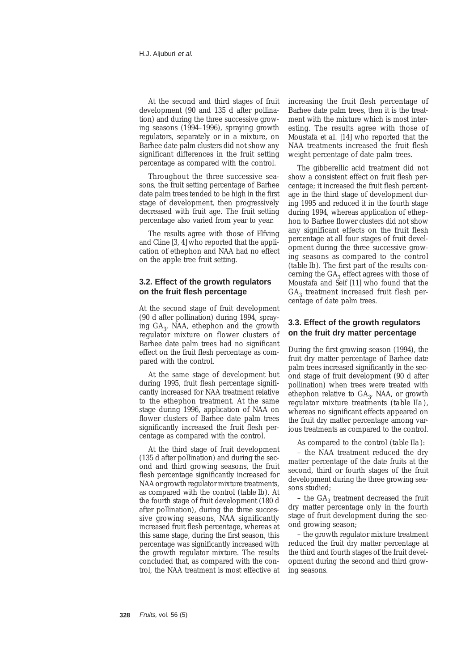At the second and third stages of fruit development (90 and 135 d after pollination) and during the three successive growing seasons (1994–1996), spraying growth regulators, separately or in a mixture, on Barhee date palm clusters did not show any significant differences in the fruit setting percentage as compared with the control.

Throughout the three successive seasons, the fruit setting percentage of Barhee date palm trees tended to be high in the first stage of development, then progressively decreased with fruit age. The fruit setting percentage also varied from year to year.

The results agree with those of Elfving and Cline [3, 4] who reported that the application of ethephon and NAA had no effect on the apple tree fruit setting.

## **3.2. Effect of the growth regulators on the fruit flesh percentage**

At the second stage of fruit development (90 d after pollination) during 1994, spraying  $GA<sub>2</sub>$ , NAA, ethephon and the growth regulator mixture on flower clusters of Barhee date palm trees had no significant effect on the fruit flesh percentage as compared with the control.

At the same stage of development but during 1995, fruit flesh percentage significantly increased for NAA treatment relative to the ethephon treatment. At the same stage during 1996, application of NAA on flower clusters of Barhee date palm trees significantly increased the fruit flesh percentage as compared with the control.

At the third stage of fruit development (135 d after pollination) and during the second and third growing seasons, the fruit flesh percentage significantly increased for NAA or growth regulator mixture treatments, as compared with the control (*table Ib*). At the fourth stage of fruit development (180 d after pollination), during the three successive growing seasons, NAA significantly increased fruit flesh percentage, whereas at this same stage, during the first season, this percentage was significantly increased with the growth regulator mixture. The results concluded that, as compared with the control, the NAA treatment is most effective at

increasing the fruit flesh percentage of Barhee date palm trees, then it is the treatment with the mixture which is most interesting. The results agree with those of Moustafa *et al.* [14] who reported that the NAA treatments increased the fruit flesh weight percentage of date palm trees.

The gibberellic acid treatment did not show a consistent effect on fruit flesh percentage; it increased the fruit flesh percentage in the third stage of development during 1995 and reduced it in the fourth stage during 1994, whereas application of ethephon to Barhee flower clusters did not show any significant effects on the fruit flesh percentage at all four stages of fruit development during the three successive growing seasons as compared to the control (*table Ib*). The first part of the results concerning the  $GA_3$  effect agrees with those of Moustafa and Seif [11] who found that the  $GA<sub>3</sub>$  treatment increased fruit flesh percentage of date palm trees.

## **3.3. Effect of the growth regulators on the fruit dry matter percentage**

During the first growing season (1994), the fruit dry matter percentage of Barhee date palm trees increased significantly in the second stage of fruit development (90 d after pollination) when trees were treated with ethephon relative to  $GA_3$ , NAA, or growth regulator mixture treatments (*table IIa*), whereas no significant effects appeared on the fruit dry matter percentage among various treatments as compared to the control.

As compared to the control (*table IIa*):

– the NAA treatment reduced the dry matter percentage of the date fruits at the second, third or fourth stages of the fruit development during the three growing seasons studied;

– the  $GA_3$  treatment decreased the fruit dry matter percentage only in the fourth stage of fruit development during the second growing season;

– the growth regulator mixture treatment reduced the fruit dry matter percentage at the third and fourth stages of the fruit development during the second and third growing seasons.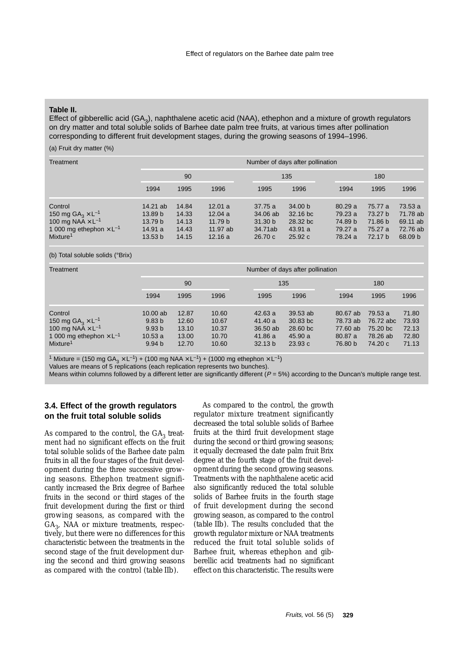#### **Table II.**

Effect of gibberellic acid (GA<sub>2</sub>), naphthalene acetic acid (NAA), ethephon and a mixture of growth regulators on dry matter and total soluble solids of Barhee date palm tree fruits, at various times after pollination corresponding to different fruit development stages, during the growing seasons of 1994–1996.

## (a) Fruit dry matter (%)

| Treatment                                                                                                                                  | Number of days after pollination                                           |                                           |                                                   |                                                     |                                                                 |                                                    |                                                     |                                                                  |  |
|--------------------------------------------------------------------------------------------------------------------------------------------|----------------------------------------------------------------------------|-------------------------------------------|---------------------------------------------------|-----------------------------------------------------|-----------------------------------------------------------------|----------------------------------------------------|-----------------------------------------------------|------------------------------------------------------------------|--|
|                                                                                                                                            | 90                                                                         |                                           |                                                   |                                                     | 135                                                             | 180                                                |                                                     |                                                                  |  |
|                                                                                                                                            | 1994                                                                       | 1995                                      | 1996                                              | 1995                                                | 1996                                                            | 1994                                               | 1995                                                | 1996                                                             |  |
| Control<br>150 mg $GA_3 \times L^{-1}$<br>100 mg NAA $\times$ L <sup>-1</sup><br>1 000 mg ethephon $\times L^{-1}$<br>Mixture <sup>1</sup> | 14.21 ab<br>13.89 <sub>b</sub><br>13.79 <sub>b</sub><br>14.91 a<br>13.53 b | 14.84<br>14.33<br>14.13<br>14.43<br>14.15 | 12.01a<br>12.04a<br>11.79 b<br>11.97 ab<br>12.16a | 37.75 a<br>34.06 ab<br>31.30 b<br>34.71ab<br>26.70c | 34.00 <sub>b</sub><br>32.16 bc<br>28.32 bc<br>43.91 a<br>25.92c | 80.29a<br>79.23 a<br>74.89 b<br>79.27 a<br>78.24 a | 75.77 a<br>73.27 b<br>71.86 b<br>75.27 a<br>72.17 b | 73.53a<br>71.78 ab<br>69.11 ab<br>72.76 ab<br>68.09 <sub>b</sub> |  |

#### (b) Total soluble solids (°Brix)

| Treatment                                                                                                                         | Number of days after pollination                                                    |                                           |                                           |                                                     |                                                         |                                                        |                                                         |                                           |  |
|-----------------------------------------------------------------------------------------------------------------------------------|-------------------------------------------------------------------------------------|-------------------------------------------|-------------------------------------------|-----------------------------------------------------|---------------------------------------------------------|--------------------------------------------------------|---------------------------------------------------------|-------------------------------------------|--|
|                                                                                                                                   | 90                                                                                  |                                           |                                           | 135                                                 |                                                         | 180                                                    |                                                         |                                           |  |
|                                                                                                                                   | 1994                                                                                | 1995                                      | 1996<br>1996<br>1995                      |                                                     |                                                         | 1994                                                   | 1995                                                    | 1996                                      |  |
| Control<br>150 mg $GA_3 \times L^{-1}$<br>100 mg NAA $\times L^{-1}$<br>1 000 mg ethephon $\times L^{-1}$<br>Mixture <sup>1</sup> | $10.00$ ab<br>9.83 <sub>b</sub><br>9.93 <sub>b</sub><br>10.53a<br>9.94 <sub>b</sub> | 12.87<br>12.60<br>13.10<br>13.00<br>12.70 | 10.60<br>10.67<br>10.37<br>10.70<br>10.60 | 42.63a<br>41.40 a<br>36.50 ab<br>41.86 a<br>32.13 b | $39.53$ ab<br>30.83 bc<br>28.60 bc<br>45.90 a<br>23.93c | 80.67 ab<br>78.73 ab<br>77.60 ab<br>80.87 a<br>76.80 b | 79.53 a<br>76.72 abc<br>75.20 bc<br>78.26 ab<br>74.20 c | 71.80<br>73.93<br>72.13<br>72.80<br>71.13 |  |

<sup>1</sup> Mixture = (150 mg GA<sub>3</sub>  $\times$  L<sup>-1</sup>) + (100 mg NAA  $\times$  L<sup>-1</sup>) + (1000 mg ethephon  $\times$  L<sup>-1</sup>)

Values are means of 5 replications (each replication represents two bunches).

Means within columns followed by a different letter are significantly different  $(P = 5%)$  according to the Duncan's multiple range test.

## **3.4. Effect of the growth regulators on the fruit total soluble solids**

As compared to the control, the  $GA<sub>3</sub>$  treatment had no significant effects on the fruit total soluble solids of the Barhee date palm fruits in all the four stages of the fruit development during the three successive growing seasons. Ethephon treatment significantly increased the Brix degree of Barhee fruits in the second or third stages of the fruit development during the first or third growing seasons, as compared with the  $GA<sub>3</sub>$ , NAA or mixture treatments, respectively, but there were no differences for this characteristic between the treatments in the second stage of the fruit development during the second and third growing seasons as compared with the control (*table IIb*).

As compared to the control, the growth regulator mixture treatment significantly decreased the total soluble solids of Barhee fruits at the third fruit development stage during the second or third growing seasons; it equally decreased the date palm fruit Brix degree at the fourth stage of the fruit development during the second growing seasons. Treatments with the naphthalene acetic acid also significantly reduced the total soluble solids of Barhee fruits in the fourth stage of fruit development during the second growing season, as compared to the control (*table IIb*). The results concluded that the growth regulator mixture or NAA treatments reduced the fruit total soluble solids of Barhee fruit, whereas ethephon and gibberellic acid treatments had no significant effect on this characteristic. The results were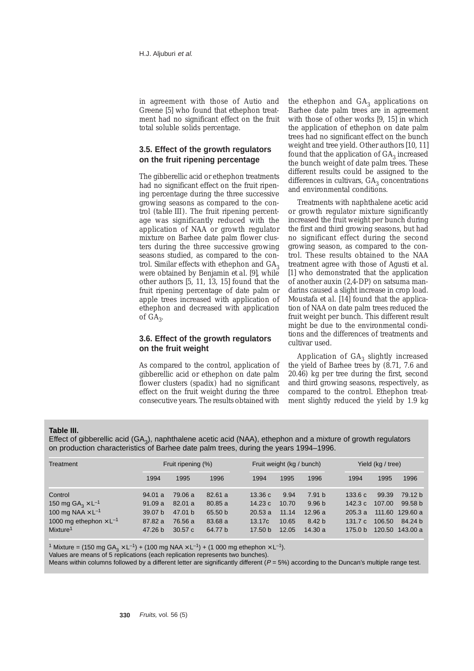in agreement with those of Autio and Greene [5] who found that ethephon treatment had no significant effect on the fruit total soluble solids percentage.

## **3.5. Effect of the growth regulators on the fruit ripening percentage**

The gibberellic acid or ethephon treatments had no significant effect on the fruit ripening percentage during the three successive growing seasons as compared to the control (*table III*). The fruit ripening percentage was significantly reduced with the application of NAA or growth regulator mixture on Barhee date palm flower clusters during the three successive growing seasons studied, as compared to the control. Similar effects with ethephon and  $GA_3$ were obtained by Benjamin *et al.* [9], while other authors [5, 11, 13, 15] found that the fruit ripening percentage of date palm or apple trees increased with application of ethephon and decreased with application of  $GA_{3}$ .

## **3.6. Effect of the growth regulators on the fruit weight**

As compared to the control, application of gibberellic acid or ethephon on date palm flower clusters (spadix) had no significant effect on the fruit weight during the three consecutive years. The results obtained with

the ethephon and  $GA<sub>3</sub>$  applications on Barhee date palm trees are in agreement with those of other works [9, 15] in which the application of ethephon on date palm trees had no significant effect on the bunch weight and tree yield. Other authors [10, 11] found that the application of  $GA_3$  increased the bunch weight of date palm trees. These different results could be assigned to the differences in cultivars,  $GA_3$  concentrations and environmental conditions.

Treatments with naphthalene acetic acid or growth regulator mixture significantly increased the fruit weight per bunch during the first and third growing seasons, but had no significant effect during the second growing season, as compared to the control. These results obtained to the NAA treatment agree with those of Agusti *et al.* [1] who demonstrated that the application of another auxin (2,4-DP) on satsuma mandarins caused a slight increase in crop load. Moustafa *et al.* [14] found that the application of NAA on date palm trees reduced the fruit weight per bunch. This different result might be due to the environmental conditions and the differences of treatments and cultivar used.

Application of  $GA_3$  slightly increased the yield of Barhee trees by (8.71, 7.6 and 20.46) kg per tree during the first, second and third growing seasons, respectively, as compared to the control. Ethephon treatment slightly reduced the yield by 1.9 kg

#### **Table III.**

Effect of gibberellic acid ( $GA_3$ ), naphthalene acetic acid (NAA), ethephon and a mixture of growth regulators on production characteristics of Barhee date palm trees, during the years 1994–1996.

| Treatment                                                                                                                                          |                                                                         | Fruit ripening (%)                                            |                                                    | Fruit weight (kg / bunch)                       |                                          |                                                                      | Yield (kg / tree)                                             |                           |                                                                                |
|----------------------------------------------------------------------------------------------------------------------------------------------------|-------------------------------------------------------------------------|---------------------------------------------------------------|----------------------------------------------------|-------------------------------------------------|------------------------------------------|----------------------------------------------------------------------|---------------------------------------------------------------|---------------------------|--------------------------------------------------------------------------------|
|                                                                                                                                                    | 1994                                                                    | 1995                                                          | 1996                                               | 1994                                            | 1995                                     | 1996                                                                 | 1994                                                          | 1995                      | 1996                                                                           |
| Control<br>150 mg $GA_3 \times L^{-1}$<br>100 mg NAA $\times$ L <sup>-1</sup><br>1000 mg ethephon $\times$ L <sup>-1</sup><br>Mixture <sup>1</sup> | 94.01 a<br>91.09a<br>39.07 <sub>b</sub><br>87.82a<br>47.26 <sub>b</sub> | 79.06 a<br>82.01 a<br>47.01 <sub>b</sub><br>76.56 a<br>30.57c | 82.61a<br>80.85 a<br>65.50 b<br>83.68 a<br>64.77 b | 13.36c<br>14.23c<br>20.53a<br>13.17c<br>17.50 b | 9.94<br>10.70<br>11.14<br>10.65<br>12.05 | 7.91 b<br>9.96 <sub>b</sub><br>12.96a<br>8.42 <sub>b</sub><br>14.30a | 133.6c<br>142.3 $c$<br>205.3a<br>131.7c<br>175.0 <sub>b</sub> | 99.39<br>107.00<br>106.50 | 79.12 b<br>99.58 <sub>b</sub><br>111.60 129.60 a<br>84.24 b<br>120.50 143.00 a |

<sup>1</sup> Mixture = (150 mg GA<sub>3</sub>  $\times$  L<sup>-1</sup>) + (100 mg NAA  $\times$  L<sup>-1</sup>) + (1 000 mg ethephon  $\times$  L<sup>-1</sup>).

Values are means of 5 replications (each replication represents two bunches).

Means within columns followed by a different letter are significantly different ( $P = 5\%$ ) according to the Duncan's multiple range test.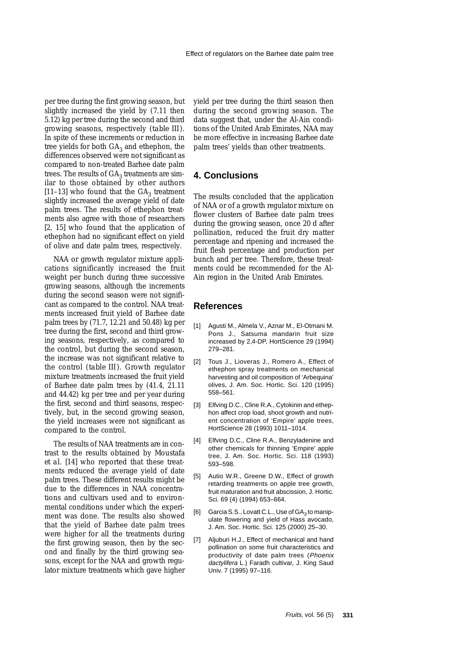per tree during the first growing season, but slightly increased the yield by (7.11 then 5.12) kg per tree during the second and third growing seasons, respectively (*table III*). In spite of these increments or reduction in tree yields for both  $GA_3$  and ethephon, the differences observed were not significant as compared to non-treated Barhee date palm trees. The results of  $GA_3$  treatments are similar to those obtained by other authors [11–13] who found that the  $GA_3$  treatment slightly increased the average yield of date palm trees. The results of ethephon treatments also agree with those of researchers [2, 15] who found that the application of ethephon had no significant effect on yield of olive and date palm trees, respectively.

NAA or growth regulator mixture applications significantly increased the fruit weight per bunch during three successive growing seasons, although the increments during the second season were not significant as compared to the control. NAA treatments increased fruit yield of Barhee date palm trees by (71.7, 12.21 and 50.48) kg per tree during the first, second and third growing seasons, respectively, as compared to the control, but during the second season, the increase was not significant relative to the control (*table III*). Growth regulator mixture treatments increased the fruit yield of Barhee date palm trees by (41.4, 21.11 and 44.42) kg per tree and per year during the first, second and third seasons, respectively, but, in the second growing season, the yield increases were not significant as compared to the control.

The results of NAA treatments are in contrast to the results obtained by Moustafa *et al.* [14] who reported that these treatments reduced the average yield of date palm trees. These different results might be due to the differences in NAA concentrations and cultivars used and to environmental conditions under which the experiment was done. The results also showed that the yield of Barhee date palm trees were higher for all the treatments during the first growing season, then by the second and finally by the third growing seasons, except for the NAA and growth regulator mixture treatments which gave higher yield per tree during the third season then during the second growing season. The data suggest that, under the Al-Ain conditions of the United Arab Emirates, NAA may be more effective in increasing Barhee date palm trees' yields than other treatments.

## **4. Conclusions**

The results concluded that the application of NAA or of a growth regulator mixture on flower clusters of Barhee date palm trees during the growing season, once 20 d after pollination, reduced the fruit dry matter percentage and ripening and increased the fruit flesh percentage and production per bunch and per tree. Therefore, these treatments could be recommended for the Al-Ain region in the United Arab Emirates.

## **References**

- [1] Agusti M., Almela V., Aznar M., El-Otmani M. Pons J., Satsuma mandarin fruit size increased by 2,4-DP, HortScience 29 (1994) 279–281.
- [2] Tous J., Lioveras J., Romero A., Effect of ethephon spray treatments on mechanical harvesting and oil composition of 'Arbequina' olives, J. Am. Soc. Hortic. Sci. 120 (1995) 558–561.
- [3] Elfving D.C., Cline R.A., Cytokinin and ethephon affect crop load, shoot growth and nutrient concentration of 'Empire' apple trees, HortScience 28 (1993) 1011–1014.
- [4] Elfving D.C., Cline R.A., Benzyladenine and other chemicals for thinning 'Empire' apple tree, J. Am. Soc. Hortic. Sci. 118 (1993) 593–598.
- [5] Autio W.R., Greene D.W., Effect of growth retarding treatments on apple tree growth, fruit maturation and fruit abscission, J. Hortic. Sci. 69 (4) (1994) 653–664.
- [6] Garcia S.S., Lovatt C.L., Use of  $GA<sub>2</sub>$  to manipulate flowering and yield of Hass avocado, J. Am. Soc. Hortic. Sci. 125 (2000) 25–30.
- [7] Aljuburi H.J., Effect of mechanical and hand pollination on some fruit characteristics and productivity of date palm trees (Phoenix dactylifera L.) Faradh cultivar, J. King Saud Univ. 7 (1995) 97–116.